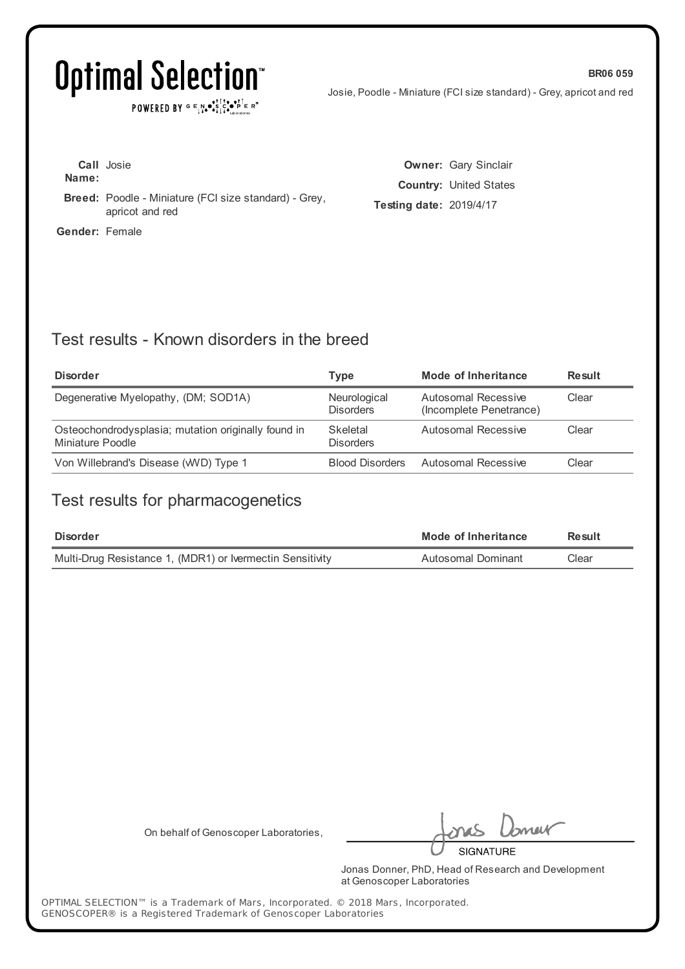POWERED BY  $G \in N_{\bullet} \bullet_{\bullet}^{\dagger} \mathbb{I}_{\bullet}^{\dagger} \bullet_{\mathbf{P}}^{\dagger} \mathbb{E} \mathbb{R}^{\circ}$ 

Josie, Poodle - Miniature (FCI size standard) - Grey, apricot and red

**BR06 059**

| Name:                 | <b>Call</b> Josie                                                               |
|-----------------------|---------------------------------------------------------------------------------|
|                       | <b>Breed:</b> Poodle - Miniature (FCI size standard) - Grey,<br>apricot and red |
| <b>Gender:</b> Female |                                                                                 |

**Owner:** Gary Sinclair **Country:** United States **Testing date:** 2019/4/17

### Test results - Known disorders in the breed

| <b>Disorder</b>                                                         | Type                             | Mode of Inheritance                            | <b>Result</b> |
|-------------------------------------------------------------------------|----------------------------------|------------------------------------------------|---------------|
| Degenerative Myelopathy, (DM; SOD1A)                                    | Neurological<br><b>Disorders</b> | Autosomal Recessive<br>(Incomplete Penetrance) | Clear         |
| Osteochondrodysplasia; mutation originally found in<br>Miniature Poodle | Skeletal<br><b>Disorders</b>     | Autosomal Recessive                            | Clear         |
| Von Willebrand's Disease (WVD) Type 1                                   | <b>Blood Disorders</b>           | Autosomal Recessive                            | Clear         |

### Test results for pharmacogenetics

| <b>Disorder</b>                                           | Mode of Inheritance | Result |
|-----------------------------------------------------------|---------------------|--------|
| Multi-Drug Resistance 1, (MDR1) or Ivermectin Sensitivity | Autosomal Dominant  | Clear  |

On behalf of Genoscoper Laboratories,

neit

**SIGNATURE** 

Jonas Donner, PhD, Head of Research and Development at Genoscoper Laboratories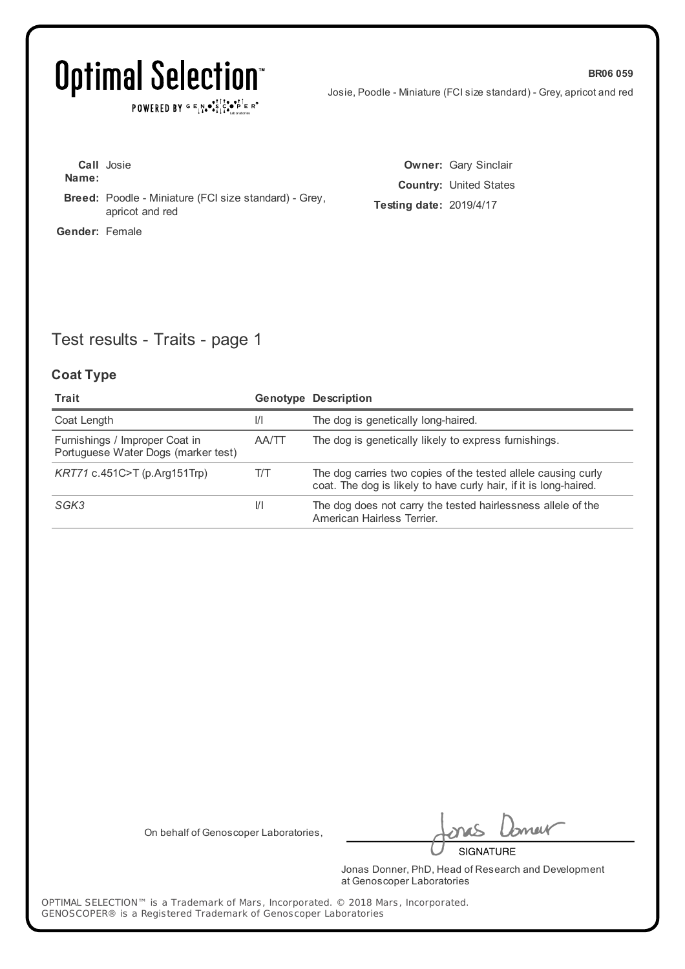$\texttt{POWERED BY} \xrightarrow{\text{c}} \mathbb{I} \underset{\text{a}}{\text{N}} \bullet \underset{\text{b}}{\text{S}} \underset{\text{b}}{\text{C}} \underset{\text{b}}{\text{C}} \bullet \underset{\text{b}}{\text{P}} \underset{\text{c}}{\text{E}} \xrightarrow{\text{c}} \mathbb{R}^\circ$ 

Josie, Poodle - Miniature (FCI size standard) - Grey, apricot and red

| Name:          | <b>Call</b> Josie                                                               |  |
|----------------|---------------------------------------------------------------------------------|--|
|                | <b>Breed:</b> Poodle - Miniature (FCI size standard) - Grey,<br>apricot and red |  |
| Gender: Female |                                                                                 |  |

**Owner:** Gary Sinclair **Country:** United States **Testing date:** 2019/4/17

## Test results - Traits - page 1

#### **Coat Type**

| Trait                                                                 |               | <b>Genotype Description</b>                                                                                                        |
|-----------------------------------------------------------------------|---------------|------------------------------------------------------------------------------------------------------------------------------------|
| Coat Length                                                           | $\frac{1}{1}$ | The dog is genetically long-haired.                                                                                                |
| Furnishings / Improper Coat in<br>Portuguese Water Dogs (marker test) | AA/TT         | The dog is genetically likely to express furnishings.                                                                              |
| KRT71 c.451C>T (p.Arg151Trp)                                          | T/T           | The dog carries two copies of the tested allele causing curly<br>coat. The dog is likely to have curly hair, if it is long-haired. |
| SGK3                                                                  | VI.           | The dog does not carry the tested hairlessness allele of the<br>American Hairless Terrier.                                         |

On behalf of Genoscoper Laboratories,

neik

**SIGNATURE** 

Jonas Donner, PhD, Head of Research and Development at Genoscoper Laboratories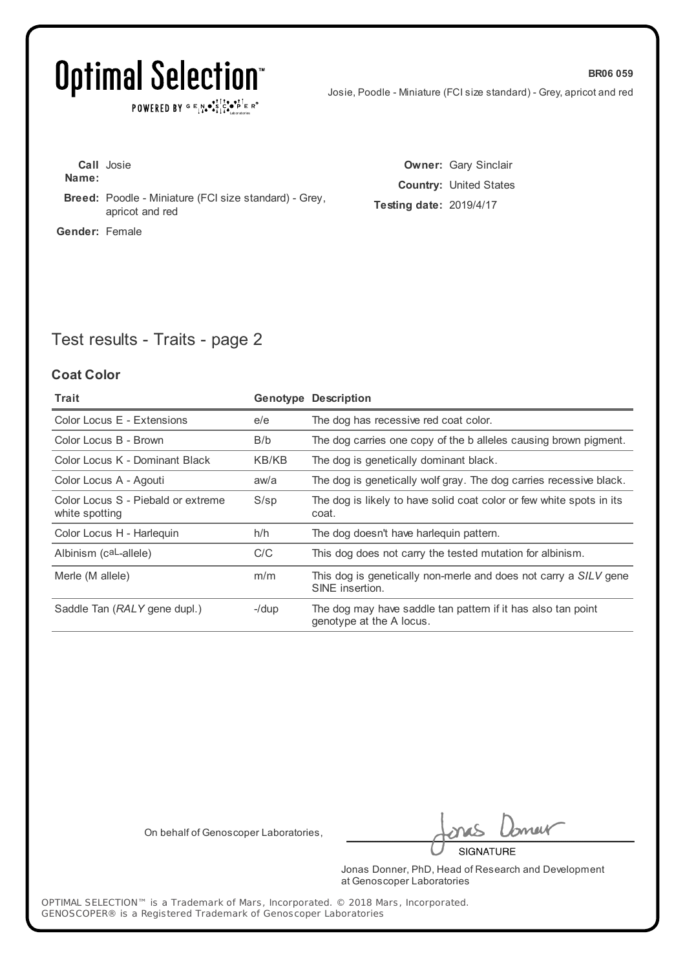## Optimal Selection<sup>®</sup>

POWERED BY  $G \in N_{\bullet} \bullet_{\bullet}^{\bullet} \bigcup_{i=1}^{n} \bullet_{\bullet} \bullet_{\bullet}^{\bullet} \bigcap_{i=n}^{n} E R^{\circ}$ 

Josie, Poodle - Miniature (FCI size standard) - Grey, apricot and red

**BR06 059**

**Call** Josie **Name: Breed:** Poodle - Miniature (FCI size standard) - Grey, apricot and red **Gender:** Female

**Owner:** Gary Sinclair **Country:** United States **Testing date:** 2019/4/17

## Test results - Traits - page 2

#### **Coat Color**

| Trait                                                |          | <b>Genotype Description</b>                                                              |
|------------------------------------------------------|----------|------------------------------------------------------------------------------------------|
| Color Locus E - Extensions                           | e/e      | The dog has recessive red coat color.                                                    |
| Color Locus B - Brown                                | B/b      | The dog carries one copy of the b alleles causing brown pigment.                         |
| Color Locus K - Dominant Black                       | KB/KB    | The dog is genetically dominant black.                                                   |
| Color Locus A - Agouti                               | aw/a     | The dog is genetically wolf gray. The dog carries recessive black.                       |
| Color Locus S - Piebald or extreme<br>white spotting | $S$ /sp  | The dog is likely to have solid coat color or few white spots in its<br>coat.            |
| Color Locus H - Harlequin                            | h/h      | The dog doesn't have harlequin pattern.                                                  |
| Albinism (caL-allele)                                | C/C      | This dog does not carry the tested mutation for albinism.                                |
| Merle (M allele)                                     | m/m      | This dog is genetically non-merle and does not carry a SILV gene<br>SINE insertion.      |
| Saddle Tan (RALY gene dupl.)                         | $-$ /dup | The dog may have saddle tan pattern if it has also tan point<br>genotype at the A locus. |

On behalf of Genoscoper Laboratories,

neit

**SIGNATURE** 

Jonas Donner, PhD, Head of Research and Development at Genoscoper Laboratories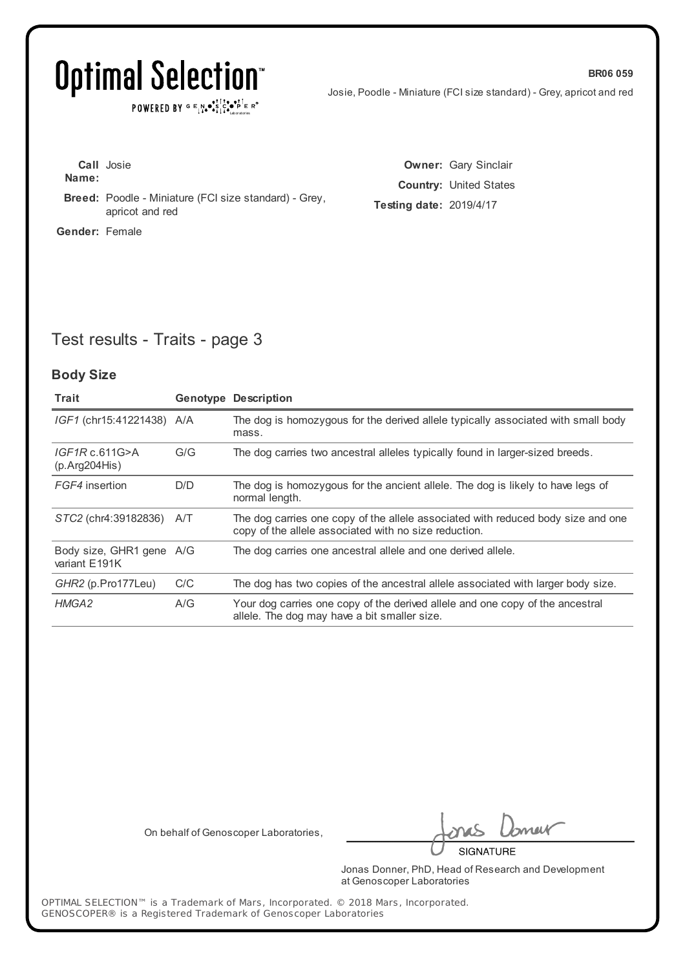$\texttt{POWERED BY} \xrightarrow{\text{c}} \mathbb{I} \underset{\text{a}}{\text{N}} \bullet \underset{\text{b}}{\text{S}} \underset{\text{b}}{\text{C}} \underset{\text{b}}{\text{C}} \bullet \underset{\text{b}}{\text{P}} \underset{\text{c}}{\text{E}} \xrightarrow{\text{c}} \mathbb{R}^\circ$ 

Josie, Poodle - Miniature (FCI size standard) - Grey, apricot and red

| Name:                 | <b>Call</b> Josie                                                               |
|-----------------------|---------------------------------------------------------------------------------|
|                       | <b>Breed:</b> Poodle - Miniature (FCI size standard) - Grey,<br>apricot and red |
| <b>Gender:</b> Female |                                                                                 |

**Owner:** Gary Sinclair **Country:** United States **Testing date:** 2019/4/17

## Test results - Traits - page 3

#### **Body Size**

| Trait                                     |     | <b>Genotype Description</b>                                                                                                               |
|-------------------------------------------|-----|-------------------------------------------------------------------------------------------------------------------------------------------|
| IGF1 (chr15:41221438) A/A                 |     | The dog is homozygous for the derived allele typically associated with small body<br>mass.                                                |
| IGF1Rc.611G>A<br>(p. Arg204His)           | G/G | The dog carries two ancestral alleles typically found in larger-sized breeds.                                                             |
| FGF4 insertion                            | D/D | The dog is homozygous for the ancient allele. The dog is likely to have legs of<br>normal length.                                         |
| STC2 (chr4:39182836)                      | A/T | The dog carries one copy of the allele associated with reduced body size and one<br>copy of the allele associated with no size reduction. |
| Body size, GHR1 gene A/G<br>variant E191K |     | The dog carries one ancestral allele and one derived allele.                                                                              |
| GHR2 (p.Pro177Leu)                        | C/C | The dog has two copies of the ancestral allele associated with larger body size.                                                          |
| HMGA2                                     | A/G | Your dog carries one copy of the derived allele and one copy of the ancestral<br>allele. The dog may have a bit smaller size.             |

On behalf of Genoscoper Laboratories,

neit

**SIGNATURE** 

Jonas Donner, PhD, Head of Research and Development at Genoscoper Laboratories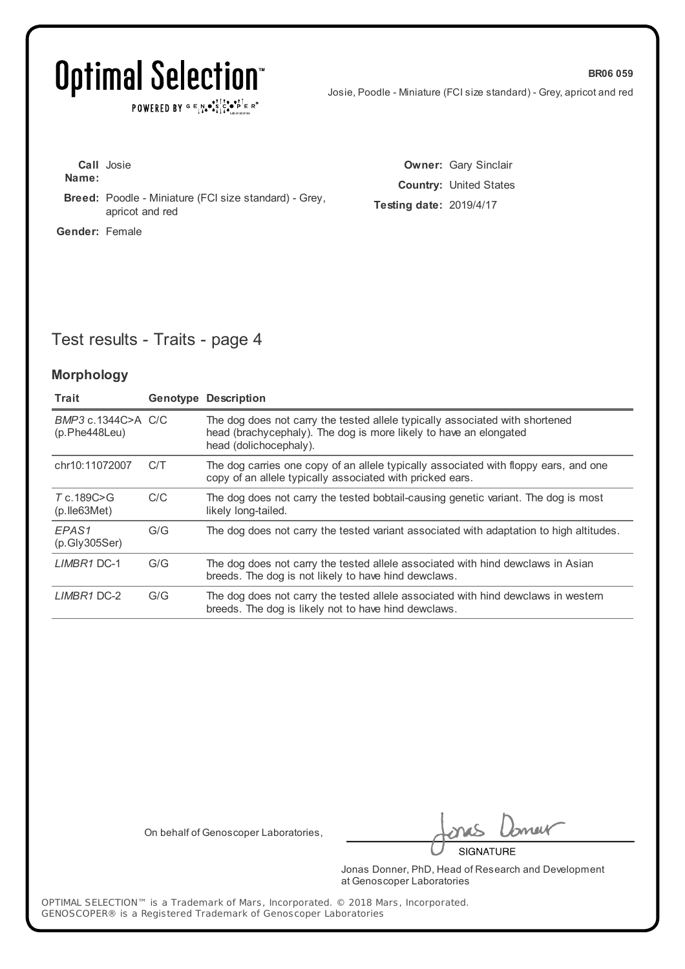$\texttt{POWERED BY} \xrightarrow{\text{c}} \mathbb{I} \underset{\text{a}}{\text{N}} \bullet \underset{\text{b}}{\text{S}} \underset{\text{b}}{\text{C}} \underset{\text{b}}{\text{C}} \bullet \underset{\text{b}}{\text{P}} \underset{\text{c}}{\text{E}} \xrightarrow{\text{c}} \mathbb{R}^\circ$ 

Josie, Poodle - Miniature (FCI size standard) - Grey, apricot and red

**BR06 059**

| Name:                 | <b>Call</b> Josie                                                               |
|-----------------------|---------------------------------------------------------------------------------|
|                       | <b>Breed:</b> Poodle - Miniature (FCI size standard) - Grey,<br>apricot and red |
| <b>Gender:</b> Female |                                                                                 |

**Owner:** Gary Sinclair **Country:** United States **Testing date:** 2019/4/17

## Test results - Traits - page 4

#### **Morphology**

| Trait                                    |     | <b>Genotype Description</b>                                                                                                                                                 |
|------------------------------------------|-----|-----------------------------------------------------------------------------------------------------------------------------------------------------------------------------|
| BMP3 c.1344C>A C/C<br>(p.Phe448Leu)      |     | The dog does not carry the tested allele typically associated with shortened<br>head (brachycephaly). The dog is more likely to have an elongated<br>head (dolichocephaly). |
| chr10:11072007                           | C/T | The dog carries one copy of an allele typically associated with floppy ears, and one<br>copy of an allele typically associated with pricked ears.                           |
| $T_c$ . 189 $C > G$<br>$(p.$ Ile 63 Met) | C/C | The dog does not carry the tested bobtail-causing genetic variant. The dog is most<br>likely long-tailed.                                                                   |
| EPAS1<br>(p.Gly305Ser)                   | G/G | The dog does not carry the tested variant associated with adaptation to high altitudes.                                                                                     |
| LIMBR1 DC-1                              | G/G | The dog does not carry the tested allele associated with hind dewclaws in Asian<br>breeds. The dog is not likely to have hind dewclaws.                                     |
| LIMBR1 DC-2                              | G/G | The dog does not carry the tested allele associated with hind dewclaws in western<br>breeds. The dog is likely not to have hind dewclaws.                                   |

On behalf of Genoscoper Laboratories,

neik

**SIGNATURE** 

Jonas Donner, PhD, Head of Research and Development at Genoscoper Laboratories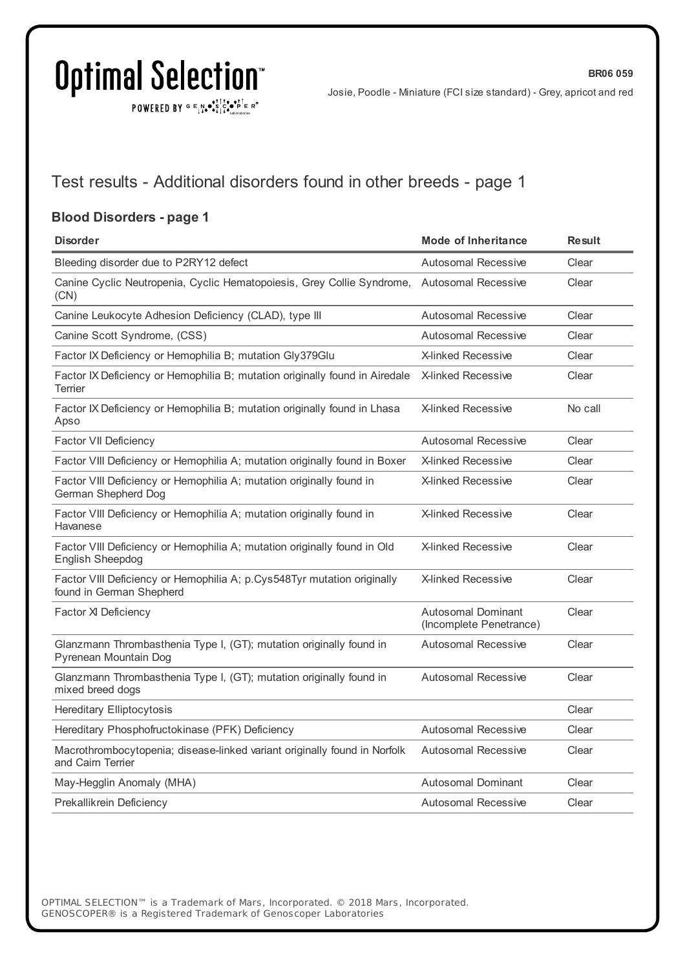POWERED BY  $G \in N_{\bullet} \bullet_{\bullet}^{\bullet}$ 

**BR06 059**

### Test results - Additional disorders found in other breeds - page 1

#### **Blood Disorders - page 1**

| <b>Disorder</b>                                                                                     | <b>Mode of Inheritance</b>                           | <b>Result</b> |
|-----------------------------------------------------------------------------------------------------|------------------------------------------------------|---------------|
| Bleeding disorder due to P2RY12 defect                                                              | <b>Autosomal Recessive</b>                           | Clear         |
| Canine Cyclic Neutropenia, Cyclic Hematopoiesis, Grey Collie Syndrome,<br>(CN)                      | <b>Autosomal Recessive</b>                           | Clear         |
| Canine Leukocyte Adhesion Deficiency (CLAD), type III                                               | Autosomal Recessive                                  | Clear         |
| Canine Scott Syndrome, (CSS)                                                                        | Autosomal Recessive                                  | Clear         |
| Factor IX Deficiency or Hemophilia B; mutation Gly379Glu                                            | <b>X-linked Recessive</b>                            | Clear         |
| Factor IX Deficiency or Hemophilia B; mutation originally found in Airedale<br>Terrier              | <b>X-linked Recessive</b>                            | Clear         |
| Factor IX Deficiency or Hemophilia B; mutation originally found in Lhasa<br>Apso                    | <b>X-linked Recessive</b>                            | No call       |
| <b>Factor VII Deficiency</b>                                                                        | <b>Autosomal Recessive</b>                           | Clear         |
| Factor VIII Deficiency or Hemophilia A; mutation originally found in Boxer                          | <b>X-linked Recessive</b>                            | Clear         |
| Factor VIII Deficiency or Hemophilia A; mutation originally found in<br>German Shepherd Dog         | <b>X-linked Recessive</b>                            | Clear         |
| Factor VIII Deficiency or Hemophilia A; mutation originally found in<br>Havanese                    | <b>X-linked Recessive</b>                            | Clear         |
| Factor VIII Deficiency or Hemophilia A; mutation originally found in Old<br><b>English Sheepdog</b> | <b>X-linked Recessive</b>                            | Clear         |
| Factor VIII Deficiency or Hemophilia A; p.Cys548Tyr mutation originally<br>found in German Shepherd | <b>X-linked Recessive</b>                            | Clear         |
| Factor XI Deficiency                                                                                | <b>Autosomal Dominant</b><br>(Incomplete Penetrance) | Clear         |
| Glanzmann Thrombasthenia Type I, (GT); mutation originally found in<br>Pyrenean Mountain Dog        | <b>Autosomal Recessive</b>                           | Clear         |
| Glanzmann Thrombasthenia Type I, (GT); mutation originally found in<br>mixed breed dogs             | <b>Autosomal Recessive</b>                           | Clear         |
| <b>Hereditary Elliptocytosis</b>                                                                    |                                                      | Clear         |
| Hereditary Phosphofructokinase (PFK) Deficiency                                                     | <b>Autosomal Recessive</b>                           | Clear         |
| Macrothrombocytopenia; disease-linked variant originally found in Norfolk<br>and Cairn Terrier      | <b>Autosomal Recessive</b>                           | Clear         |
| May-Hegglin Anomaly (MHA)                                                                           | <b>Autosomal Dominant</b>                            | Clear         |
| Prekallikrein Deficiency                                                                            | <b>Autosomal Recessive</b>                           | Clear         |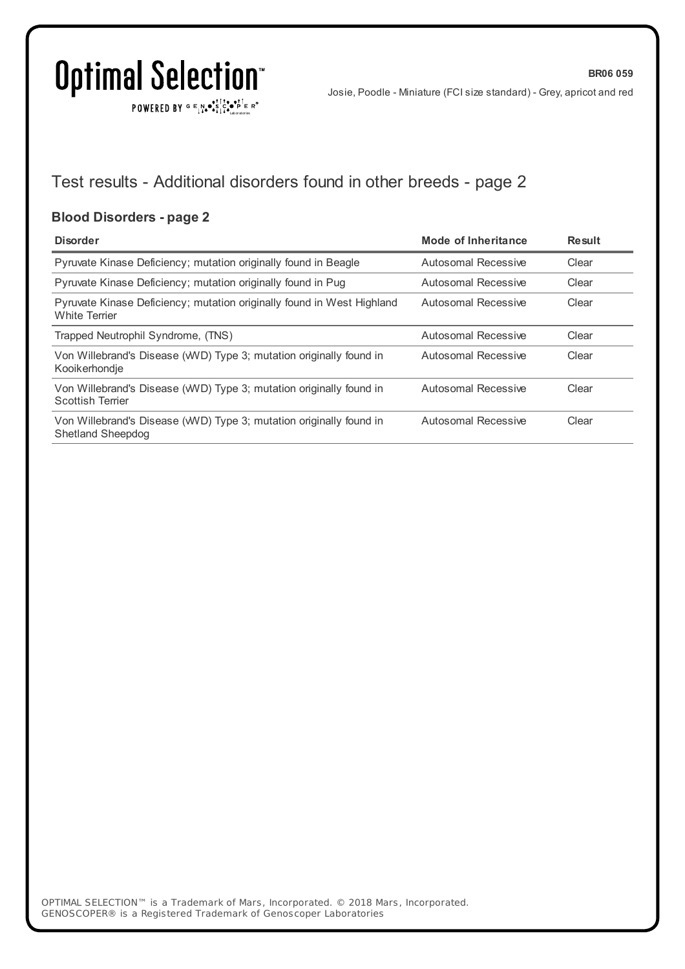**BR06 059**

Josie, Poodle - Miniature (FCI size standard) - Grey, apricot and red

POWERED BY  $G \in N_{\bullet} \bullet_{\bullet}^{\bullet}$ 

### Test results - Additional disorders found in other breeds - page 2

### **Blood Disorders - page 2**

| <b>Disorder</b>                                                                                | <b>Mode of Inheritance</b> | <b>Result</b> |
|------------------------------------------------------------------------------------------------|----------------------------|---------------|
| Pyruvate Kinase Deficiency; mutation originally found in Beagle                                | Autosomal Recessive        | Clear         |
| Pyruvate Kinase Deficiency; mutation originally found in Pug                                   | Autosomal Recessive        | Clear         |
| Pyruvate Kinase Deficiency; mutation originally found in West Highland<br><b>White Terrier</b> | Autosomal Recessive        | Clear         |
| Trapped Neutrophil Syndrome, (TNS)                                                             | Autosomal Recessive        | Clear         |
| Von Willebrand's Disease (WVD) Type 3; mutation originally found in<br>Kooikerhondje           | Autosomal Recessive        | Clear         |
| Von Willebrand's Disease (WVD) Type 3; mutation originally found in<br><b>Scottish Terrier</b> | Autosomal Recessive        | Clear         |
| Von Willebrand's Disease (WVD) Type 3; mutation originally found in<br>Shetland Sheepdog       | Autosomal Recessive        | Clear         |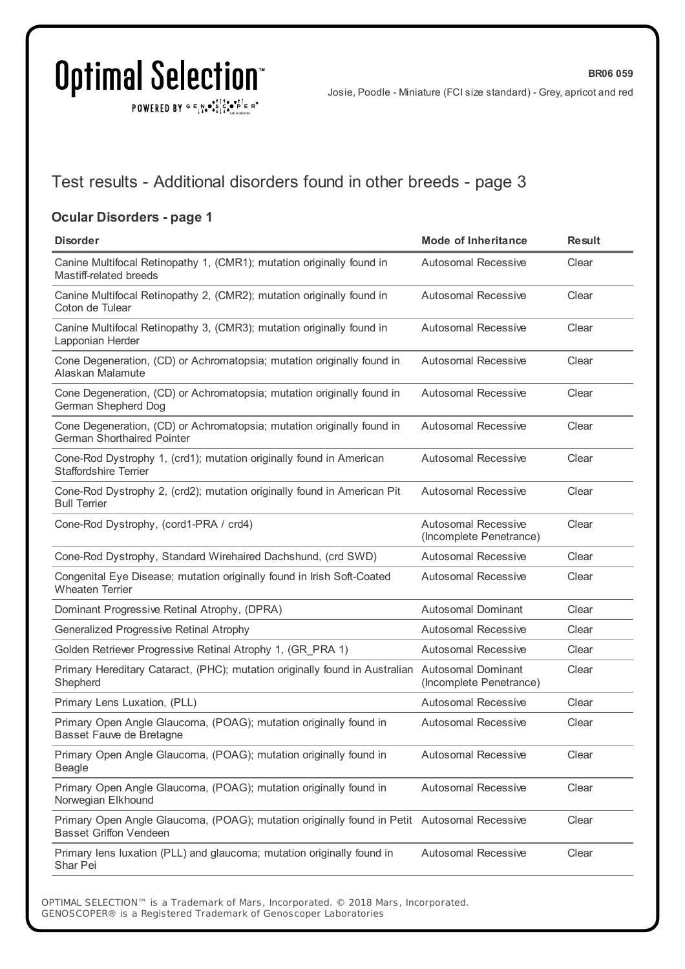POWERED BY  $G \in N_{\bullet} \bullet_{\bullet}^{\bullet}$ 

Josie, Poodle - Miniature (FCI size standard) - Grey, apricot and red

### Test results - Additional disorders found in other breeds - page 3

### **Ocular Disorders - page 1**

| <b>Disorder</b>                                                                                                              | <b>Mode of Inheritance</b>                            | <b>Result</b> |
|------------------------------------------------------------------------------------------------------------------------------|-------------------------------------------------------|---------------|
| Canine Multifocal Retinopathy 1, (CMR1); mutation originally found in<br>Mastiff-related breeds                              | <b>Autosomal Recessive</b>                            | Clear         |
| Canine Multifocal Retinopathy 2, (CMR2); mutation originally found in<br>Coton de Tulear                                     | <b>Autosomal Recessive</b>                            | Clear         |
| Canine Multifocal Retinopathy 3, (CMR3); mutation originally found in<br>Lapponian Herder                                    | <b>Autosomal Recessive</b>                            | Clear         |
| Cone Degeneration, (CD) or Achromatopsia; mutation originally found in<br>Alaskan Malamute                                   | <b>Autosomal Recessive</b>                            | Clear         |
| Cone Degeneration, (CD) or Achromatopsia; mutation originally found in<br>German Shepherd Dog                                | <b>Autosomal Recessive</b>                            | Clear         |
| Cone Degeneration, (CD) or Achromatopsia; mutation originally found in<br><b>German Shorthaired Pointer</b>                  | <b>Autosomal Recessive</b>                            | Clear         |
| Cone-Rod Dystrophy 1, (crd1); mutation originally found in American<br><b>Staffordshire Terrier</b>                          | <b>Autosomal Recessive</b>                            | Clear         |
| Cone-Rod Dystrophy 2, (crd2); mutation originally found in American Pit<br><b>Bull Terrier</b>                               | <b>Autosomal Recessive</b>                            | Clear         |
| Cone-Rod Dystrophy, (cord1-PRA / crd4)                                                                                       | <b>Autosomal Recessive</b><br>(Incomplete Penetrance) | Clear         |
| Cone-Rod Dystrophy, Standard Wirehaired Dachshund, (crd SWD)                                                                 | <b>Autosomal Recessive</b>                            | Clear         |
| Congenital Eye Disease; mutation originally found in Irish Soft-Coated<br><b>Wheaten Terrier</b>                             | <b>Autosomal Recessive</b>                            | Clear         |
| Dominant Progressive Retinal Atrophy, (DPRA)                                                                                 | <b>Autosomal Dominant</b>                             | Clear         |
| Generalized Progressive Retinal Atrophy                                                                                      | Autosomal Recessive                                   | Clear         |
| Golden Retriever Progressive Retinal Atrophy 1, (GR_PRA 1)                                                                   | <b>Autosomal Recessive</b>                            | Clear         |
| Primary Hereditary Cataract, (PHC); mutation originally found in Australian Autosomal Dominant<br>Shepherd                   | (Incomplete Penetrance)                               | Clear         |
| Primary Lens Luxation, (PLL)                                                                                                 | Autosomal Recessive                                   | Clear         |
| Primary Open Angle Glaucoma, (POAG); mutation originally found in<br>Basset Fauve de Bretagne                                | <b>Autosomal Recessive</b>                            | Clear         |
| Primary Open Angle Glaucoma, (POAG); mutation originally found in<br>Beagle                                                  | Autosomal Recessive                                   | Clear         |
| Primary Open Angle Glaucoma, (POAG); mutation originally found in<br>Norwegian Elkhound                                      | <b>Autosomal Recessive</b>                            | Clear         |
| Primary Open Angle Glaucoma, (POAG); mutation originally found in Petit Autosomal Recessive<br><b>Basset Griffon Vendeen</b> |                                                       | Clear         |
| Primary lens luxation (PLL) and glaucoma; mutation originally found in<br>Shar Pei                                           | <b>Autosomal Recessive</b>                            | Clear         |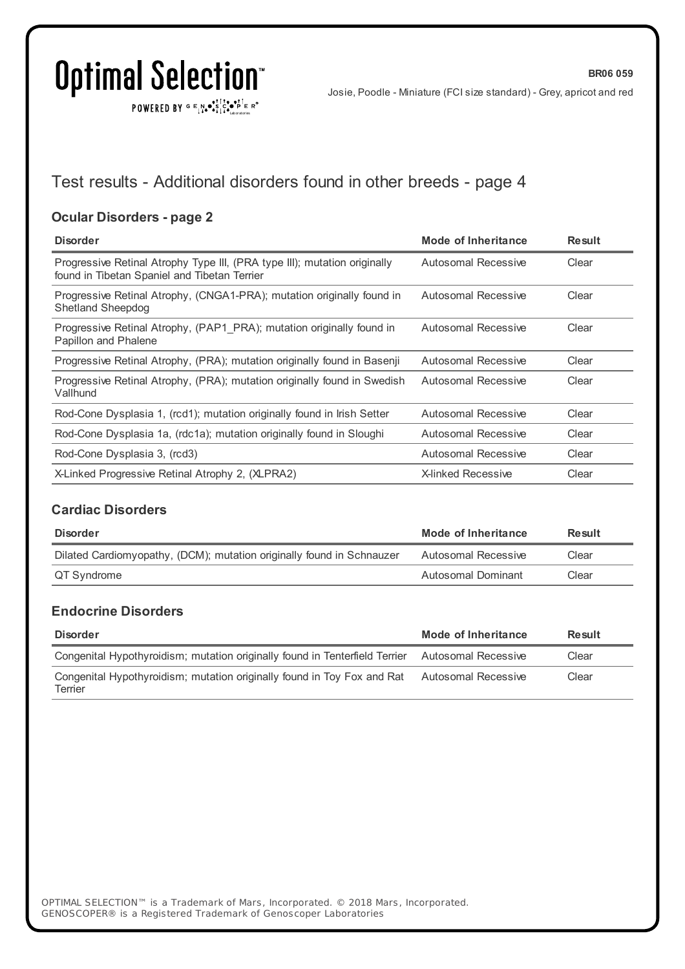## Optimal Selection<sup>®</sup>

POWERED BY  $G \in N_{\bullet} \bullet_{\bullet}^{\bullet}$ 

Josie, Poodle - Miniature (FCI size standard) - Grey, apricot and red

### Test results - Additional disorders found in other breeds - page 4

### **Ocular Disorders - page 2**

| <b>Disorder</b>                                                                                                           | Mode of Inheritance       | <b>Result</b> |
|---------------------------------------------------------------------------------------------------------------------------|---------------------------|---------------|
| Progressive Retinal Atrophy Type III, (PRA type III); mutation originally<br>found in Tibetan Spaniel and Tibetan Terrier | Autosomal Recessive       | Clear         |
| Progressive Retinal Atrophy, (CNGA1-PRA); mutation originally found in<br>Shetland Sheepdog                               | Autosomal Recessive       | Clear         |
| Progressive Retinal Atrophy, (PAP1 PRA); mutation originally found in<br>Papillon and Phalene                             | Autosomal Recessive       | Clear         |
| Progressive Retinal Atrophy, (PRA); mutation originally found in Basenji                                                  | Autosomal Recessive       | Clear         |
| Progressive Retinal Atrophy, (PRA); mutation originally found in Swedish<br>Vallhund                                      | Autosomal Recessive       | Clear         |
| Rod-Cone Dysplasia 1, (rcd1); mutation originally found in Irish Setter                                                   | Autosomal Recessive       | Clear         |
| Rod-Cone Dysplasia 1a, (rdc1a); mutation originally found in Sloughi                                                      | Autosomal Recessive       | Clear         |
| Rod-Cone Dysplasia 3, (rcd3)                                                                                              | Autosomal Recessive       | Clear         |
| X-Linked Progressive Retinal Atrophy 2, (XLPRA2)                                                                          | <b>X-linked Recessive</b> | Clear         |

### **Cardiac Disorders**

| Disorder                                                              | Mode of Inheritance | Result |
|-----------------------------------------------------------------------|---------------------|--------|
| Dilated Cardiomyopathy, (DCM); mutation originally found in Schnauzer | Autosomal Recessive | Clear  |
| QT Syndrome                                                           | Autosomal Dominant  | Clear  |

#### **Endocrine Disorders**

| <b>Disorder</b>                                                                                 | Mode of Inheritance | Result |
|-------------------------------------------------------------------------------------------------|---------------------|--------|
| Congenital Hypothyroidism; mutation originally found in Tenterfield Terrier Autosomal Recessive |                     | Clear  |
| Congenital Hypothyroidism; mutation originally found in Toy Fox and Rat<br>Terrier              | Autosomal Recessive | Clear  |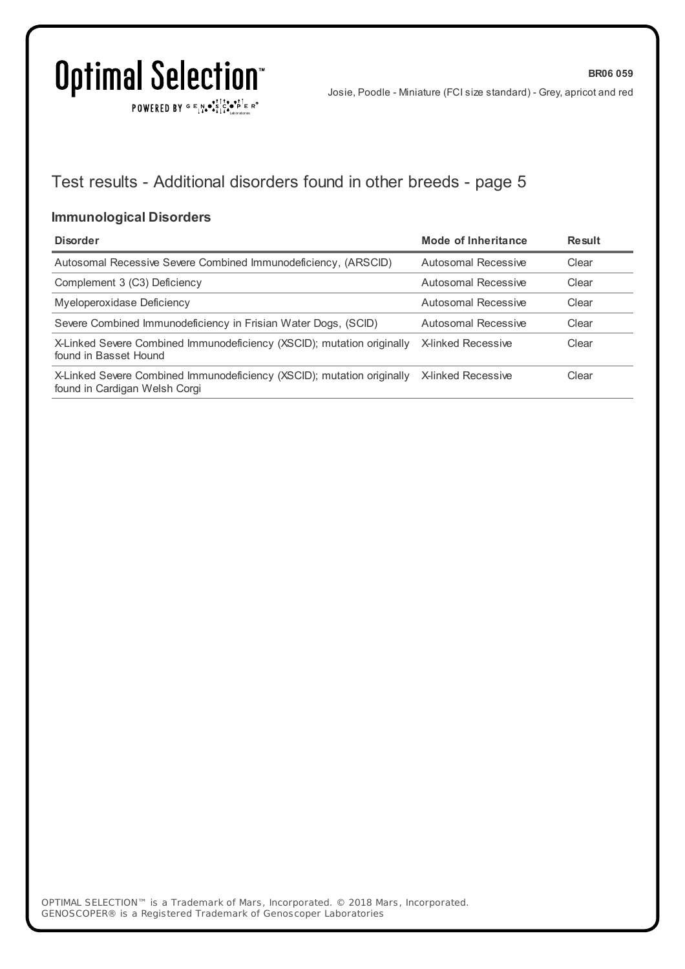$\texttt{POWERED BY} \xrightarrow{\mathbf{c}} \mathbb{I} \underset{\mathbf{a}}{\overset{\mathbf{r}}{\mathbf{a}}} \overset{\mathbf{r}}{\overset{\mathbf{r}}{\mathbf{s}}} \underset{\mathbf{a}}{\overset{\mathbf{r}}{\mathbf{a}}} \overset{\mathbf{r}}{\overset{\mathbf{r}}{\mathbf{s}}} \overset{\mathbf{r}}{\overset{\mathbf{r}}{\mathbf{s}}} \overset{\mathbf{r}}{\overset{\mathbf{r}}{\mathbf{s}}} \overset{\mathbf{r}}{\overset{\mathbf{r}}{\mathbf{s}}} \overset{\mathbf{r}}{\overset{\mathbf{r}}{\mathbf{s}}} \overset{\mathbf{r}}$ 

Josie, Poodle - Miniature (FCI size standard) - Grey, apricot and red

**BR06 059**

### Test results - Additional disorders found in other breeds - page 5

#### **Immunological Disorders**

| <b>Disorder</b>                                                                                         | Mode of Inheritance       | Result |
|---------------------------------------------------------------------------------------------------------|---------------------------|--------|
| Autosomal Recessive Severe Combined Immunodeficiency, (ARSCID)                                          | Autosomal Recessive       | Clear  |
| Complement 3 (C3) Deficiency                                                                            | Autosomal Recessive       | Clear  |
| Myeloperoxidase Deficiency                                                                              | Autosomal Recessive       | Clear  |
| Severe Combined Immunodeficiency in Frisian Water Dogs, (SCID)                                          | Autosomal Recessive       | Clear  |
| X-Linked Severe Combined Immunodeficiency (XSCID); mutation originally<br>found in Basset Hound         | X-linked Recessive        | Clear  |
| X-Linked Severe Combined Immunodeficiency (XSCID); mutation originally<br>found in Cardigan Welsh Corgi | <b>X-linked Recessive</b> | Clear  |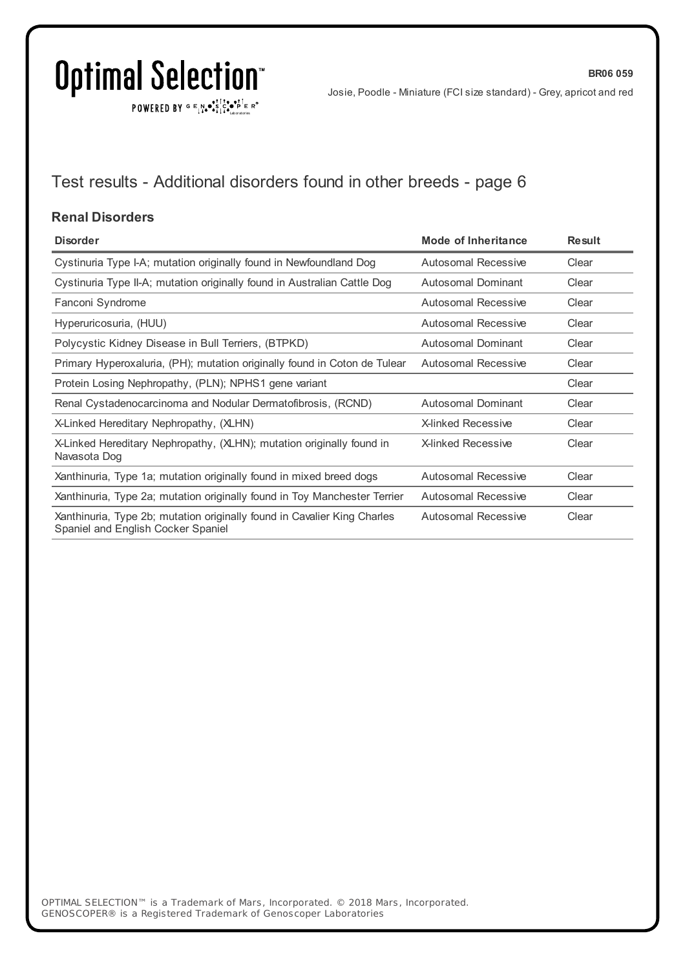$\texttt{POWERED BY} \xrightarrow{\mathbf{c}} \mathbb{I} \underset{\mathbf{a}}{\overset{\mathbf{r}}{\mathbf{a}}} \overset{\mathbf{r}}{\overset{\mathbf{r}}{\mathbf{s}}} \underset{\mathbf{a}}{\overset{\mathbf{r}}{\mathbf{a}}} \overset{\mathbf{r}}{\overset{\mathbf{r}}{\mathbf{s}}} \overset{\mathbf{r}}{\overset{\mathbf{r}}{\mathbf{s}}} \overset{\mathbf{r}}{\overset{\mathbf{r}}{\mathbf{s}}} \overset{\mathbf{r}}{\overset{\mathbf{r}}{\mathbf{s}}} \overset{\mathbf{r}}{\overset{\mathbf{r}}{\mathbf{s}}} \overset{\mathbf{r}}$ 

**BR06 059**

## Test results - Additional disorders found in other breeds - page 6

#### **Renal Disorders**

| <b>Disorder</b>                                                                                                | Mode of Inheritance        | <b>Result</b> |
|----------------------------------------------------------------------------------------------------------------|----------------------------|---------------|
| Cystinuria Type I-A; mutation originally found in Newfoundland Dog                                             | <b>Autosomal Recessive</b> | Clear         |
| Cystinuria Type II-A; mutation originally found in Australian Cattle Dog                                       | Autosomal Dominant         | Clear         |
| Fanconi Syndrome                                                                                               | <b>Autosomal Recessive</b> | Clear         |
| Hyperuricosuria, (HUU)                                                                                         | Autosomal Recessive        | Clear         |
| Polycystic Kidney Disease in Bull Terriers, (BTPKD)                                                            | <b>Autosomal Dominant</b>  | Clear         |
| Primary Hyperoxaluria, (PH); mutation originally found in Coton de Tulear                                      | Autosomal Recessive        | Clear         |
| Protein Losing Nephropathy, (PLN); NPHS1 gene variant                                                          |                            | Clear         |
| Renal Cystadenocarcinoma and Nodular Dermatofibrosis, (RCND)                                                   | Autosomal Dominant         | Clear         |
| X-Linked Hereditary Nephropathy, (XLHN)                                                                        | X-linked Recessive         | Clear         |
| X-Linked Hereditary Nephropathy, (XLHN); mutation originally found in<br>Navasota Dog                          | <b>X-linked Recessive</b>  | Clear         |
| Xanthinuria, Type 1a; mutation originally found in mixed breed dogs                                            | <b>Autosomal Recessive</b> | Clear         |
| Xanthinuria, Type 2a; mutation originally found in Toy Manchester Terrier                                      | <b>Autosomal Recessive</b> | Clear         |
| Xanthinuria, Type 2b; mutation originally found in Cavalier King Charles<br>Spaniel and English Cocker Spaniel | <b>Autosomal Recessive</b> | Clear         |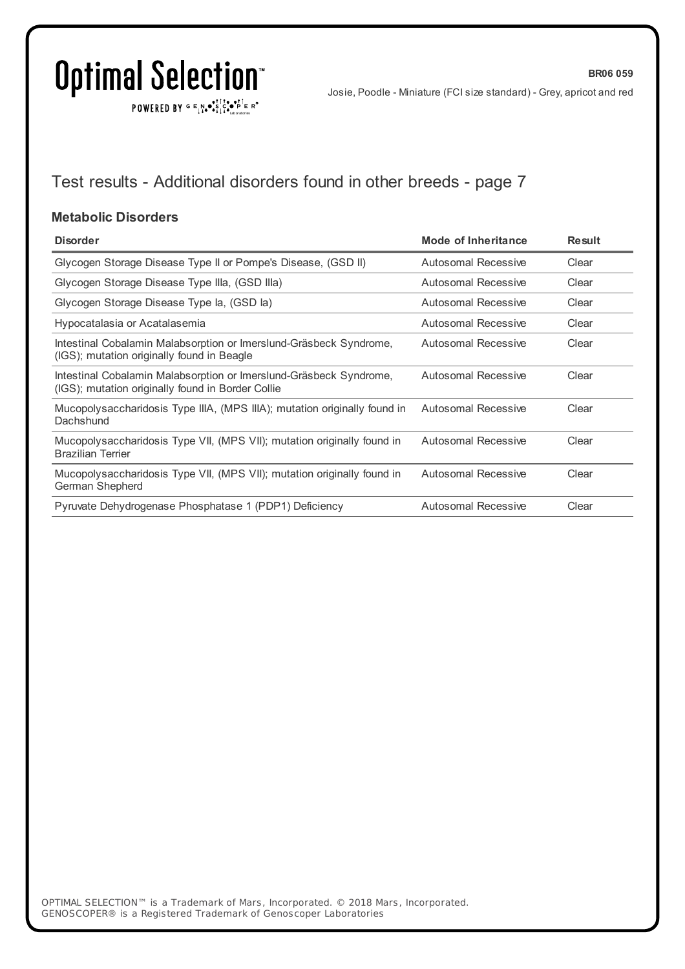$\texttt{POWERED BY} \xrightarrow{\mathbf{c}} \mathbb{I} \underset{\mathbf{a}}{\overset{\mathbf{r}}{\mathbf{a}}} \overset{\mathbf{r}}{\overset{\mathbf{r}}{\mathbf{s}}} \underset{\mathbf{a}}{\overset{\mathbf{r}}{\mathbf{a}}} \overset{\mathbf{r}}{\overset{\mathbf{r}}{\mathbf{s}}} \overset{\mathbf{r}}{\overset{\mathbf{r}}{\mathbf{s}}} \overset{\mathbf{r}}{\overset{\mathbf{r}}{\mathbf{s}}} \overset{\mathbf{r}}{\overset{\mathbf{r}}{\mathbf{s}}} \overset{\mathbf{r}}{\overset{\mathbf{r}}{\mathbf{s}}} \overset{\mathbf{r}}$ 

**BR06 059**

## Test results - Additional disorders found in other breeds - page 7

#### **Metabolic Disorders**

| <b>Disorder</b>                                                                                                         | Mode of Inheritance        | <b>Result</b> |
|-------------------------------------------------------------------------------------------------------------------------|----------------------------|---------------|
| Glycogen Storage Disease Type II or Pompe's Disease, (GSD II)                                                           | Autosomal Recessive        | Clear         |
| Glycogen Storage Disease Type IIIa, (GSD IIIa)                                                                          | Autosomal Recessive        | Clear         |
| Glycogen Storage Disease Type la, (GSD la)                                                                              | <b>Autosomal Recessive</b> | Clear         |
| Hypocatalasia or Acatalasemia                                                                                           | Autosomal Recessive        | Clear         |
| Intestinal Cobalamin Malabsorption or Imerslund-Gräsbeck Syndrome,<br>(IGS); mutation originally found in Beagle        | Autosomal Recessive        | Clear         |
| Intestinal Cobalamin Malabsorption or Imerslund-Gräsbeck Syndrome,<br>(IGS); mutation originally found in Border Collie | Autosomal Recessive        | Clear         |
| Mucopolysaccharidosis Type IIIA, (MPS IIIA); mutation originally found in<br>Dachshund                                  | Autosomal Recessive        | Clear         |
| Mucopolysaccharidosis Type VII, (MPS VII); mutation originally found in<br><b>Brazilian Terrier</b>                     | Autosomal Recessive        | Clear         |
| Mucopolysaccharidosis Type VII, (MPS VII); mutation originally found in<br>German Shepherd                              | Autosomal Recessive        | Clear         |
| Pyruvate Dehydrogenase Phosphatase 1 (PDP1) Deficiency                                                                  | <b>Autosomal Recessive</b> | Clear         |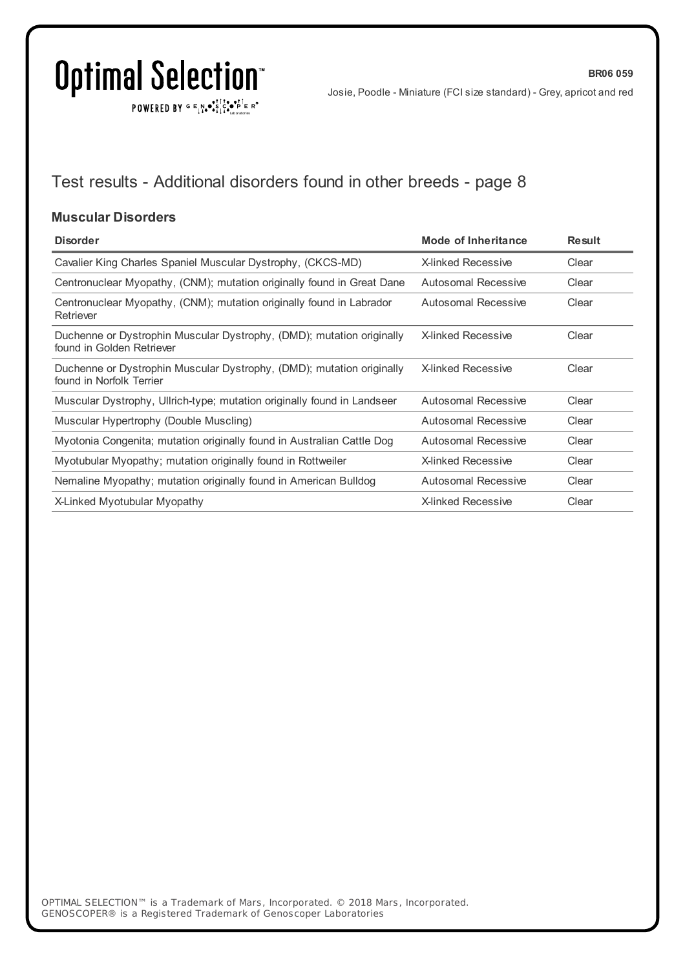$\texttt{POWERED BY} \xrightarrow{\mathbf{c}} \mathbb{I} \underset{\mathbf{a}}{\overset{\mathbf{r}}{\mathbf{a}}} \overset{\mathbf{r}}{\overset{\mathbf{r}}{\mathbf{s}}} \underset{\mathbf{a}}{\overset{\mathbf{r}}{\mathbf{a}}} \overset{\mathbf{r}}{\overset{\mathbf{r}}{\mathbf{s}}} \overset{\mathbf{r}}{\overset{\mathbf{r}}{\mathbf{s}}} \overset{\mathbf{r}}{\overset{\mathbf{r}}{\mathbf{s}}} \overset{\mathbf{r}}{\overset{\mathbf{r}}{\mathbf{s}}} \overset{\mathbf{r}}{\overset{\mathbf{r}}{\mathbf{s}}} \overset{\mathbf{r}}$ 

**BR06 059**

## Test results - Additional disorders found in other breeds - page 8

#### **Muscular Disorders**

| <b>Disorder</b>                                                                                    | Mode of Inheritance        | <b>Result</b> |
|----------------------------------------------------------------------------------------------------|----------------------------|---------------|
| Cavalier King Charles Spaniel Muscular Dystrophy, (CKCS-MD)                                        | <b>X-linked Recessive</b>  | Clear         |
| Centronuclear Myopathy, (CNM); mutation originally found in Great Dane                             | Autosomal Recessive        | Clear         |
| Centronuclear Myopathy, (CNM); mutation originally found in Labrador<br>Retriever                  | <b>Autosomal Recessive</b> | Clear         |
| Duchenne or Dystrophin Muscular Dystrophy, (DMD); mutation originally<br>found in Golden Retriever | <b>X-linked Recessive</b>  | Clear         |
| Duchenne or Dystrophin Muscular Dystrophy, (DMD); mutation originally<br>found in Norfolk Terrier  | <b>X-linked Recessive</b>  | Clear         |
| Muscular Dystrophy, Ullrich-type; mutation originally found in Landseer                            | Autosomal Recessive        | Clear         |
| Muscular Hypertrophy (Double Muscling)                                                             | Autosomal Recessive        | Clear         |
| Myotonia Congenita; mutation originally found in Australian Cattle Dog                             | Autosomal Recessive        | Clear         |
| Myotubular Myopathy; mutation originally found in Rottweiler                                       | <b>X-linked Recessive</b>  | Clear         |
| Nemaline Myopathy; mutation originally found in American Bulldog                                   | Autosomal Recessive        | Clear         |
| X-Linked Myotubular Myopathy                                                                       | <b>X-linked Recessive</b>  | Clear         |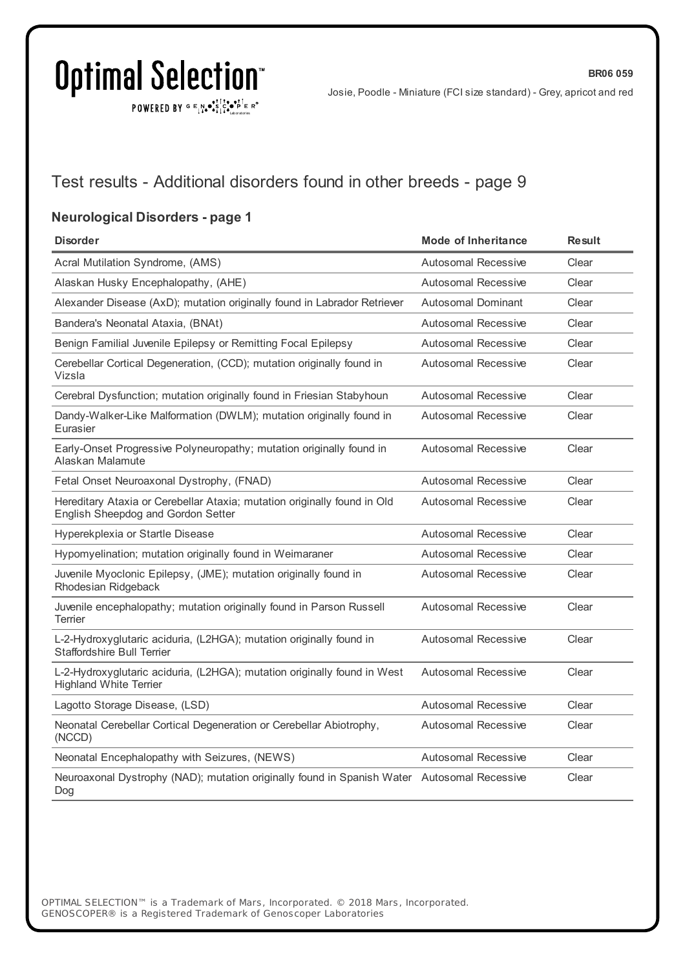POWERED BY  $G \in N_{\bullet} \bullet_{\bullet}^{\bullet}$ 

**BR06 059**

### Test results - Additional disorders found in other breeds - page 9

### **Neurological Disorders - page 1**

| <b>Disorder</b>                                                                                                | <b>Mode of Inheritance</b> | <b>Result</b> |
|----------------------------------------------------------------------------------------------------------------|----------------------------|---------------|
| Acral Mutilation Syndrome, (AMS)                                                                               | Autosomal Recessive        | Clear         |
| Alaskan Husky Encephalopathy, (AHE)                                                                            | <b>Autosomal Recessive</b> | Clear         |
| Alexander Disease (AxD); mutation originally found in Labrador Retriever                                       | <b>Autosomal Dominant</b>  | Clear         |
| Bandera's Neonatal Ataxia, (BNAt)                                                                              | Autosomal Recessive        | Clear         |
| Benign Familial Juvenile Epilepsy or Remitting Focal Epilepsy                                                  | <b>Autosomal Recessive</b> | Clear         |
| Cerebellar Cortical Degeneration, (CCD); mutation originally found in<br>Vizsla                                | <b>Autosomal Recessive</b> | Clear         |
| Cerebral Dysfunction; mutation originally found in Friesian Stabyhoun                                          | <b>Autosomal Recessive</b> | Clear         |
| Dandy-Walker-Like Malformation (DWLM); mutation originally found in<br>Eurasier                                | <b>Autosomal Recessive</b> | Clear         |
| Early-Onset Progressive Polyneuropathy; mutation originally found in<br>Alaskan Malamute                       | <b>Autosomal Recessive</b> | Clear         |
| Fetal Onset Neuroaxonal Dystrophy, (FNAD)                                                                      | Autosomal Recessive        | Clear         |
| Hereditary Ataxia or Cerebellar Ataxia; mutation originally found in Old<br>English Sheepdog and Gordon Setter | <b>Autosomal Recessive</b> | Clear         |
| Hyperekplexia or Startle Disease                                                                               | Autosomal Recessive        | Clear         |
| Hypomyelination; mutation originally found in Weimaraner                                                       | Autosomal Recessive        | Clear         |
| Juvenile Myoclonic Epilepsy, (JME); mutation originally found in<br>Rhodesian Ridgeback                        | <b>Autosomal Recessive</b> | Clear         |
| Juvenile encephalopathy; mutation originally found in Parson Russell<br><b>Terrier</b>                         | <b>Autosomal Recessive</b> | Clear         |
| L-2-Hydroxyglutaric aciduria, (L2HGA); mutation originally found in<br><b>Staffordshire Bull Terrier</b>       | <b>Autosomal Recessive</b> | Clear         |
| L-2-Hydroxyglutaric aciduria, (L2HGA); mutation originally found in West<br><b>Highland White Terrier</b>      | <b>Autosomal Recessive</b> | Clear         |
| Lagotto Storage Disease, (LSD)                                                                                 | <b>Autosomal Recessive</b> | Clear         |
| Neonatal Cerebellar Cortical Degeneration or Cerebellar Abiotrophy,<br>(NCCD)                                  | Autosomal Recessive        | Clear         |
| Neonatal Encephalopathy with Seizures, (NEWS)                                                                  | <b>Autosomal Recessive</b> | Clear         |
| Neuroaxonal Dystrophy (NAD); mutation originally found in Spanish Water Autosomal Recessive<br>Dog             |                            | Clear         |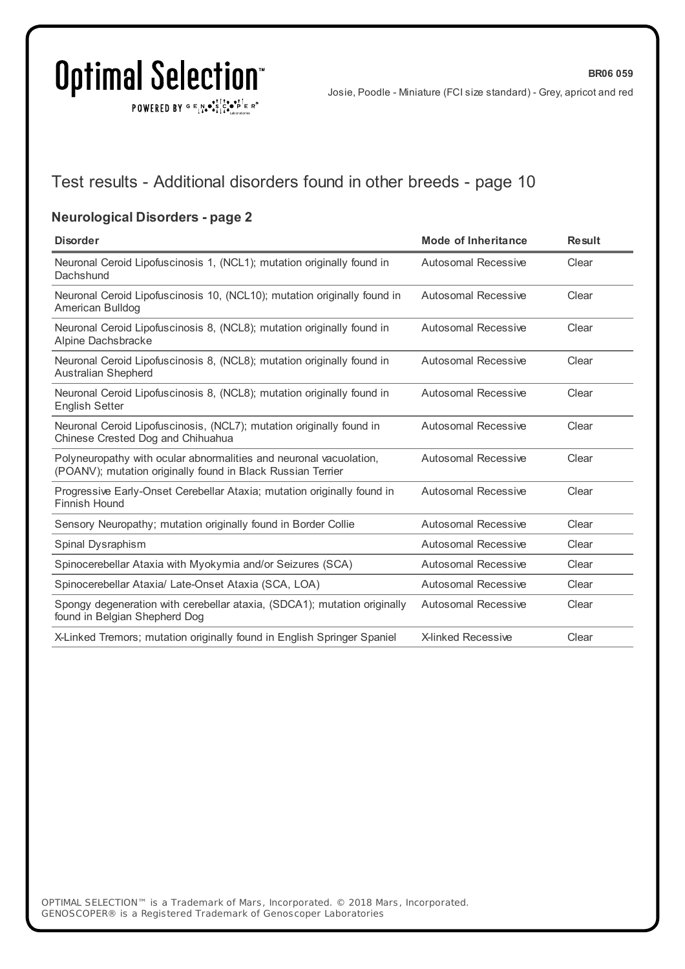POWERED BY  $G \in N_{\bullet} \bullet_{\bullet}^{\bullet}$ 

Josie, Poodle - Miniature (FCI size standard) - Grey, apricot and red

### Test results - Additional disorders found in other breeds - page 10

### **Neurological Disorders - page 2**

| <b>Disorder</b>                                                                                                                   | <b>Mode of Inheritance</b> | <b>Result</b> |
|-----------------------------------------------------------------------------------------------------------------------------------|----------------------------|---------------|
| Neuronal Ceroid Lipofuscinosis 1, (NCL1); mutation originally found in<br>Dachshund                                               | <b>Autosomal Recessive</b> | Clear         |
| Neuronal Ceroid Lipofuscinosis 10, (NCL10); mutation originally found in<br>American Bulldog                                      | Autosomal Recessive        | Clear         |
| Neuronal Ceroid Lipofuscinosis 8, (NCL8); mutation originally found in<br>Alpine Dachsbracke                                      | Autosomal Recessive        | Clear         |
| Neuronal Ceroid Lipofuscinosis 8, (NCL8); mutation originally found in<br>Australian Shepherd                                     | Autosomal Recessive        | Clear         |
| Neuronal Ceroid Lipofuscinosis 8, (NCL8); mutation originally found in<br><b>English Setter</b>                                   | Autosomal Recessive        | Clear         |
| Neuronal Ceroid Lipofuscinosis, (NCL7); mutation originally found in<br>Chinese Crested Dog and Chihuahua                         | Autosomal Recessive        | Clear         |
| Polyneuropathy with ocular abnormalities and neuronal vacuolation,<br>(POANV); mutation originally found in Black Russian Terrier | Autosomal Recessive        | Clear         |
| Progressive Early-Onset Cerebellar Ataxia; mutation originally found in<br>Finnish Hound                                          | Autosomal Recessive        | Clear         |
| Sensory Neuropathy; mutation originally found in Border Collie                                                                    | Autosomal Recessive        | Clear         |
| Spinal Dysraphism                                                                                                                 | Autosomal Recessive        | Clear         |
| Spinocerebellar Ataxia with Myokymia and/or Seizures (SCA)                                                                        | Autosomal Recessive        | Clear         |
| Spinocerebellar Ataxia/ Late-Onset Ataxia (SCA, LOA)                                                                              | Autosomal Recessive        | Clear         |
| Spongy degeneration with cerebellar ataxia, (SDCA1); mutation originally<br>found in Belgian Shepherd Dog                         | Autosomal Recessive        | Clear         |
| X-Linked Tremors; mutation originally found in English Springer Spaniel                                                           | <b>X-linked Recessive</b>  | Clear         |
|                                                                                                                                   |                            |               |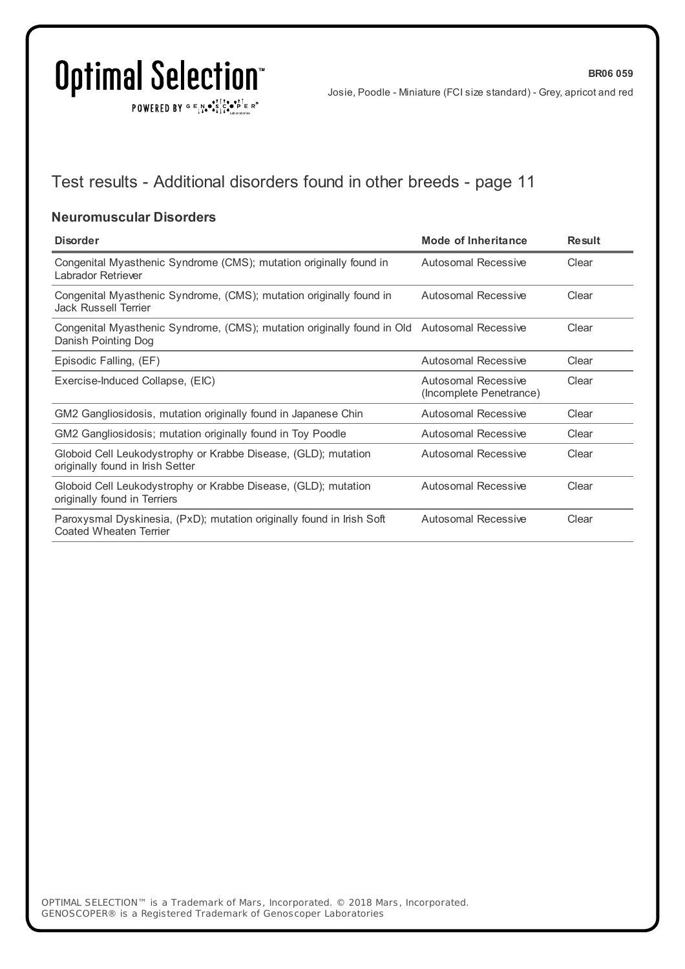$\texttt{POWERED BY} \xrightarrow{\mathbf{c}} \mathbb{I} \underset{\mathbf{a}}{\mathbf{a}} \bullet \underset{\mathbf{a}}{\mathbf{a}} \underset{\mathbf{b}}{\mathbf{a}} \circ \underset{\mathbf{b}}{\mathbf{b}} \overset{\mathbf{c}}{\mathbf{b}} \underset{\mathbf{b}}{\mathbf{b}} \circ \underset{\mathbf{c}}{\mathbf{b}} \overset{\mathbf{c}}{\mathbf{b}} \mathbf{c}} \mathbf{c}^{\circ}$ 

**BR06 059**

## Test results - Additional disorders found in other breeds - page 11

#### **Neuromuscular Disorders**

| <b>Disorder</b>                                                                                                    | Mode of Inheritance                            | <b>Result</b> |
|--------------------------------------------------------------------------------------------------------------------|------------------------------------------------|---------------|
| Congenital Myasthenic Syndrome (CMS); mutation originally found in<br>Labrador Retriever                           | Autosomal Recessive                            | Clear         |
| Congenital Myasthenic Syndrome, (CMS); mutation originally found in<br>Jack Russell Terrier                        | Autosomal Recessive                            | Clear         |
| Congenital Myasthenic Syndrome, (CMS); mutation originally found in Old Autosomal Recessive<br>Danish Pointing Dog |                                                | Clear         |
| Episodic Falling, (EF)                                                                                             | Autosomal Recessive                            | Clear         |
| Exercise-Induced Collapse, (EIC)                                                                                   | Autosomal Recessive<br>(Incomplete Penetrance) | Clear         |
| GM2 Gangliosidosis, mutation originally found in Japanese Chin                                                     | Autosomal Recessive                            | Clear         |
| GM2 Gangliosidosis; mutation originally found in Toy Poodle                                                        | Autosomal Recessive                            | Clear         |
| Globoid Cell Leukodystrophy or Krabbe Disease, (GLD); mutation<br>originally found in Irish Setter                 | Autosomal Recessive                            | Clear         |
| Globoid Cell Leukodystrophy or Krabbe Disease, (GLD); mutation<br>originally found in Terriers                     | Autosomal Recessive                            | Clear         |
| Paroxysmal Dyskinesia, (PxD); mutation originally found in Irish Soft<br>Coated Wheaten Terrier                    | Autosomal Recessive                            | Clear         |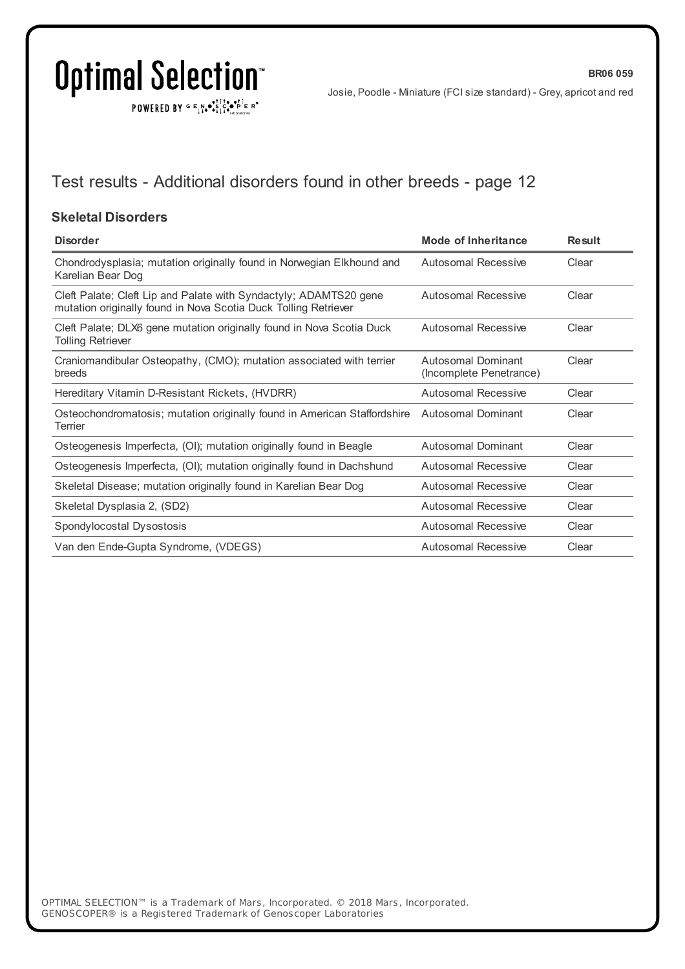$\texttt{POWERED BY} \xrightarrow{\mathbf{c}} \mathbb{I} \underset{\mathbf{a}}{\mathbf{a}} \bullet \underset{\mathbf{a}}{\mathbf{a}} \underset{\mathbf{b}}{\mathbf{a}} \circ \underset{\mathbf{b}}{\mathbf{b}} \overset{\mathbf{c}}{\mathbf{b}} \underset{\mathbf{b}}{\mathbf{b}} \circ \underset{\mathbf{c}}{\mathbf{b}} \overset{\mathbf{c}}{\mathbf{b}} \mathbf{c}} \mathbf{c}^{\circ}$ 

**BR06 059**

## Test results - Additional disorders found in other breeds - page 12

#### **Skeletal Disorders**

| <b>Disorder</b>                                                                                                                      | <b>Mode of Inheritance</b>                    | <b>Result</b> |
|--------------------------------------------------------------------------------------------------------------------------------------|-----------------------------------------------|---------------|
| Chondrodysplasia; mutation originally found in Norwegian Elkhound and<br>Karelian Bear Dog                                           | Autosomal Recessive                           | Clear         |
| Cleft Palate; Cleft Lip and Palate with Syndactyly; ADAMTS20 gene<br>mutation originally found in Nova Scotia Duck Tolling Retriever | Autosomal Recessive                           | Clear         |
| Cleft Palate; DLX6 gene mutation originally found in Nova Scotia Duck<br><b>Tolling Retriever</b>                                    | Autosomal Recessive                           | Clear         |
| Craniomandibular Osteopathy, (CMO); mutation associated with terrier<br>breeds                                                       | Autosomal Dominant<br>(Incomplete Penetrance) | Clear         |
| Hereditary Vitamin D-Resistant Rickets, (HVDRR)                                                                                      | Autosomal Recessive                           | Clear         |
| Osteochondromatosis; mutation originally found in American Staffordshire<br>Terrier                                                  | Autosomal Dominant                            | Clear         |
| Osteogenesis Imperfecta, (OI); mutation originally found in Beagle                                                                   | <b>Autosomal Dominant</b>                     | Clear         |
| Osteogenesis Imperfecta, (OI); mutation originally found in Dachshund                                                                | Autosomal Recessive                           | Clear         |
| Skeletal Disease; mutation originally found in Karelian Bear Dog                                                                     | Autosomal Recessive                           | Clear         |
| Skeletal Dysplasia 2, (SD2)                                                                                                          | Autosomal Recessive                           | Clear         |
| Spondylocostal Dysostosis                                                                                                            | Autosomal Recessive                           | Clear         |
| Van den Ende-Gupta Syndrome, (VDEGS)                                                                                                 | Autosomal Recessive                           | Clear         |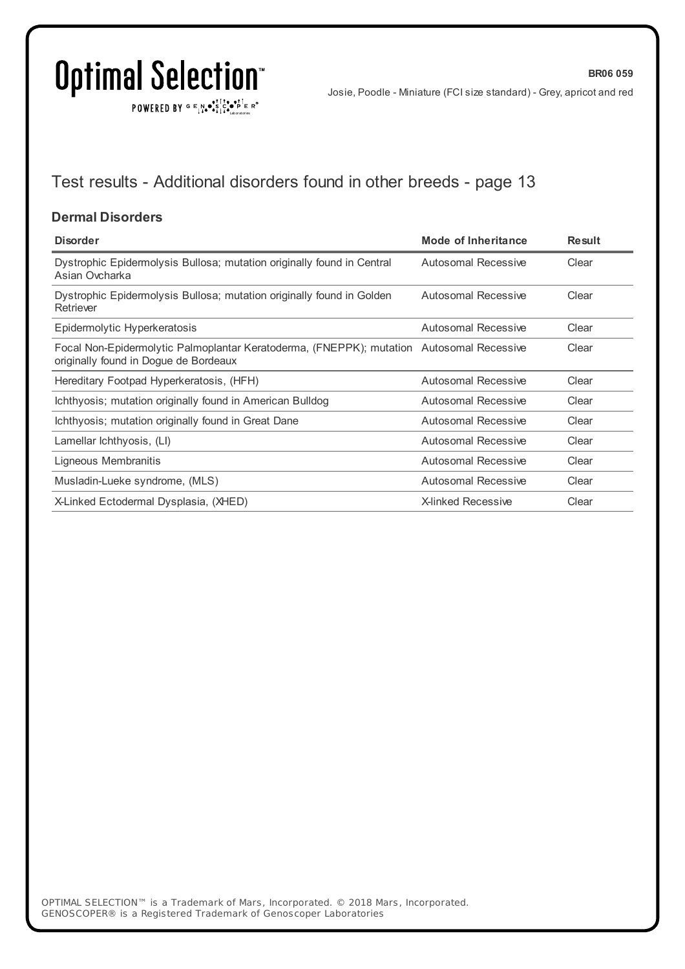$\texttt{POWERED BY} \xrightarrow{\mathbf{c}} \mathbb{I} \underset{\mathbf{a}}{\mathbf{a}} \bullet \underset{\mathbf{a}}{\mathbf{a}} \underset{\mathbf{b}}{\mathbf{a}} \circ \underset{\mathbf{b}}{\mathbf{b}} \overset{\mathbf{c}}{\mathbf{b}} \underset{\mathbf{b}}{\mathbf{b}} \circ \underset{\mathbf{c}}{\mathbf{b}} \overset{\mathbf{c}}{\mathbf{b}} \mathbf{c}} \mathbf{c}^{\circ}$ 

**BR06 059**

## Test results - Additional disorders found in other breeds - page 13

### **Dermal Disorders**

| <b>Disorder</b>                                                                                                                   | <b>Mode of Inheritance</b> | <b>Result</b> |
|-----------------------------------------------------------------------------------------------------------------------------------|----------------------------|---------------|
| Dystrophic Epidermolysis Bullosa; mutation originally found in Central<br>Asian Ovcharka                                          | Autosomal Recessive        | Clear         |
| Dystrophic Epidermolysis Bullosa; mutation originally found in Golden<br>Retriever                                                | <b>Autosomal Recessive</b> | Clear         |
| Epidermolytic Hyperkeratosis                                                                                                      | Autosomal Recessive        | Clear         |
| Focal Non-Epidermolytic Palmoplantar Keratoderma, (FNEPPK); mutation Autosomal Recessive<br>originally found in Dogue de Bordeaux |                            | Clear         |
| Hereditary Footpad Hyperkeratosis, (HFH)                                                                                          | <b>Autosomal Recessive</b> | Clear         |
| Ichthyosis; mutation originally found in American Bulldog                                                                         | Autosomal Recessive        | Clear         |
| Ichthyosis; mutation originally found in Great Dane                                                                               | Autosomal Recessive        | Clear         |
| Lamellar lchthyosis, (LI)                                                                                                         | Autosomal Recessive        | Clear         |
| Ligneous Membranitis                                                                                                              | Autosomal Recessive        | Clear         |
| Musladin-Lueke syndrome, (MLS)                                                                                                    | Autosomal Recessive        | Clear         |
| X-Linked Ectodermal Dysplasia, (XHED)                                                                                             | <b>X-linked Recessive</b>  | Clear         |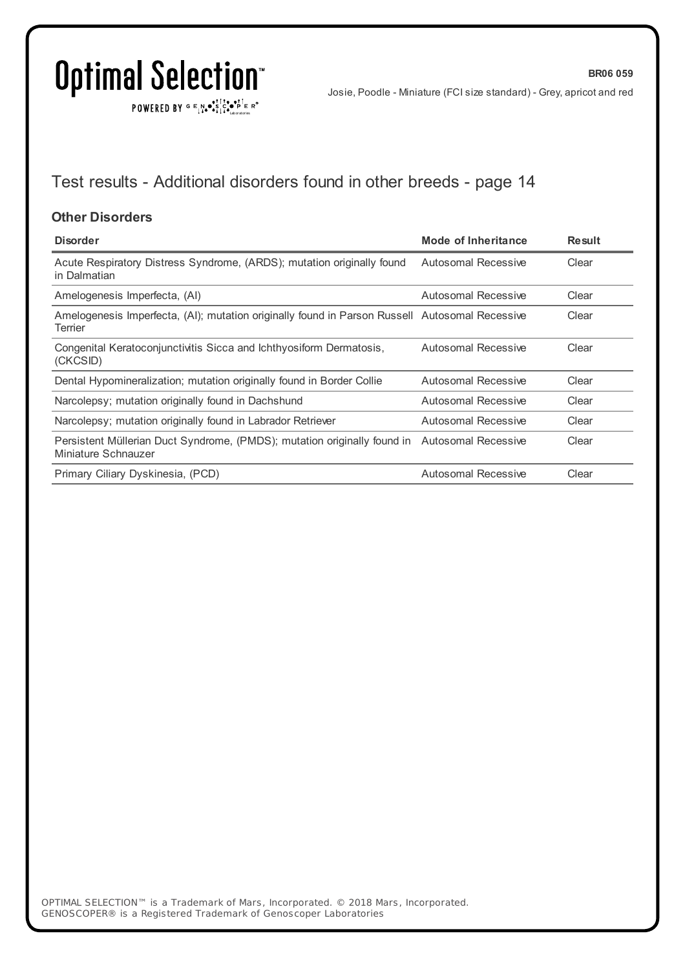$\texttt{POWERED BY} \xrightarrow{\mathbf{c}} \mathbb{I} \underset{\mathbf{a}}{\mathbf{a}} \bullet \underset{\mathbf{a}}{\mathbf{a}} \underset{\mathbf{b}}{\mathbf{a}} \circ \underset{\mathbf{b}}{\mathbf{b}} \overset{\mathbf{c}}{\mathbf{b}} \underset{\mathbf{b}}{\mathbf{b}} \circ \underset{\mathbf{c}}{\mathbf{b}} \overset{\mathbf{c}}{\mathbf{b}} \mathbf{c}} \mathbf{c}^{\circ}$ 

**BR06 059**

## Test results - Additional disorders found in other breeds - page 14

#### **Other Disorders**

| <b>Disorder</b>                                                                                                     | <b>Mode of Inheritance</b> | <b>Result</b> |
|---------------------------------------------------------------------------------------------------------------------|----------------------------|---------------|
| Acute Respiratory Distress Syndrome, (ARDS); mutation originally found<br>in Dalmatian                              | Autosomal Recessive        | Clear         |
| Amelogenesis Imperfecta, (AI)                                                                                       | Autosomal Recessive        | Clear         |
| Amelogenesis Imperfecta, (AI); mutation originally found in Parson Russell Autosomal Recessive<br>Terrier           |                            | Clear         |
| Congenital Keratoconjunctivitis Sicca and Ichthyosiform Dermatosis,<br>(CKCSID)                                     | Autosomal Recessive        | Clear         |
| Dental Hypomineralization; mutation originally found in Border Collie                                               | Autosomal Recessive        | Clear         |
| Narcolepsy; mutation originally found in Dachshund                                                                  | Autosomal Recessive        | Clear         |
| Narcolepsy; mutation originally found in Labrador Retriever                                                         | Autosomal Recessive        | Clear         |
| Persistent Müllerian Duct Syndrome, (PMDS); mutation originally found in Autosomal Recessive<br>Miniature Schnauzer |                            | Clear         |
| Primary Ciliary Dyskinesia, (PCD)                                                                                   | Autosomal Recessive        | Clear         |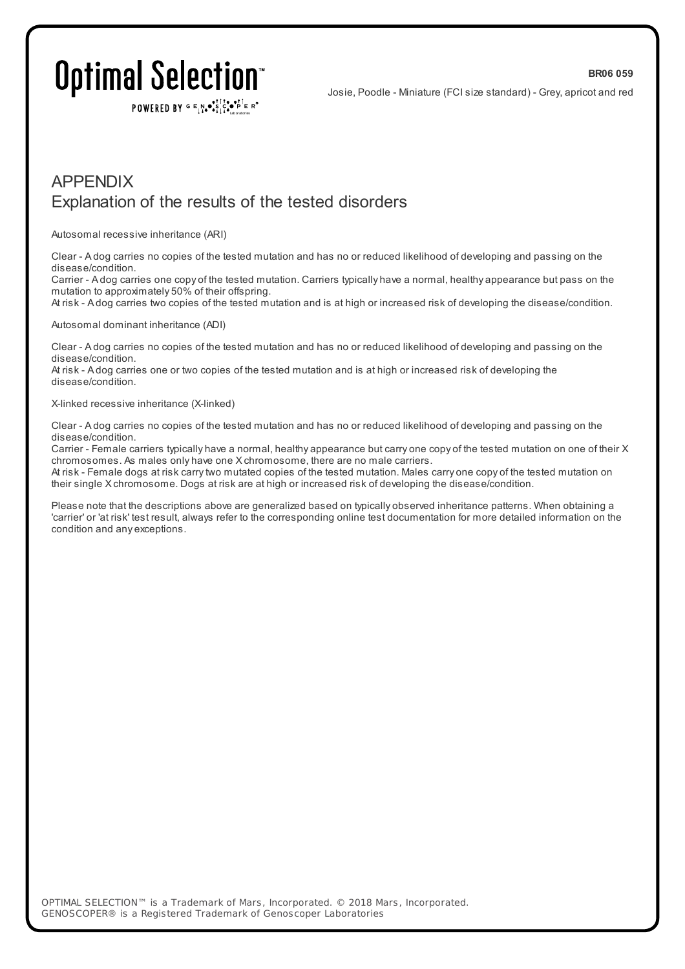#### **BR06 059**

# Optimal Selection

POWERED BY  $G \in N_{\bullet} \bullet \in \mathbb{R}$ 

Josie, Poodle - Miniature (FCI size standard) - Grey, apricot and red

### APPENDIX Explanation of the results of the tested disorders

#### Autosomal recessive inheritance (ARI)

Clear - A dog carries no copies of the tested mutation and has no or reduced likelihood of developing and passing on the disease/condition.

Carrier - A dog carries one copy of the tested mutation. Carriers typically have a normal, healthy appearance but pass on the mutation to approximately 50% of their offspring.

At risk - A dog carries two copies of the tested mutation and is at high or increased risk of developing the disease/condition.

#### Autosomal dominant inheritance (ADI)

Clear - A dog carries no copies of the tested mutation and has no or reduced likelihood of developing and passing on the disease/condition.

At risk - A dog carries one or two copies of the tested mutation and is at high or increased risk of developing the disease/condition.

#### X-linked recessive inheritance (X-linked)

Clear - A dog carries no copies of the tested mutation and has no or reduced likelihood of developing and passing on the disease/condition.

Carrier - Female carriers typically have a normal, healthy appearance but carry one copy of the tested mutation on one of their X chromosomes. As males only have one X chromosome, there are no male carriers.

At risk - Female dogs at risk carrytwo mutated copies of the tested mutation. Males carry one copy of the tested mutation on their single X chromosome. Dogs at risk are at high or increased risk of developing the disease/condition.

Please note that the descriptions above are generalized based on typically observed inheritance patterns. When obtaining a 'carrier' or 'at risk' test result, always refer to the corresponding online test documentation for more detailed information on the condition and any exceptions.